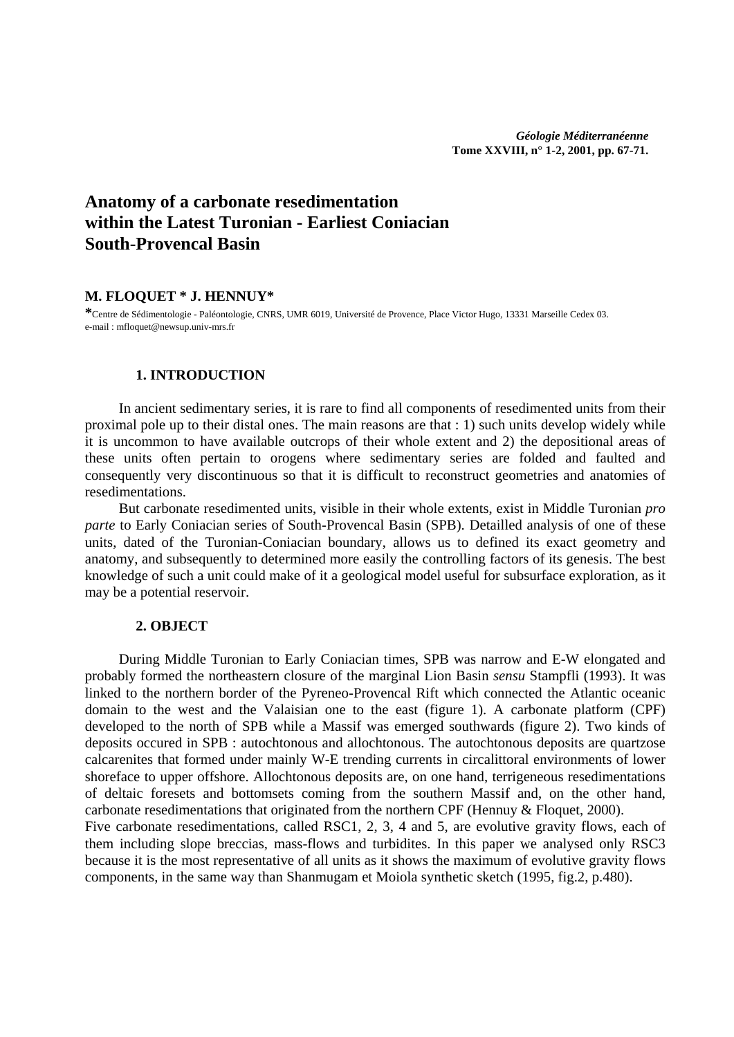# **Anatomy of a carbonate resedimentation within the Latest Turonian - Earliest Coniacian South-Provencal Basin**

## **M. FLOQUET \* J. HENNUY\***

**\***Centre de Sédimentologie - Paléontologie, CNRS, UMR 6019, Université de Provence, Place Victor Hugo, 13331 Marseille Cedex 03. e-mail : mfloquet@newsup.univ-mrs.fr

## **1. INTRODUCTION**

In ancient sedimentary series, it is rare to find all components of resedimented units from their proximal pole up to their distal ones. The main reasons are that : 1) such units develop widely while it is uncommon to have available outcrops of their whole extent and 2) the depositional areas of these units often pertain to orogens where sedimentary series are folded and faulted and consequently very discontinuous so that it is difficult to reconstruct geometries and anatomies of resedimentations.

But carbonate resedimented units, visible in their whole extents, exist in Middle Turonian *pro parte* to Early Coniacian series of South-Provencal Basin (SPB). Detailled analysis of one of these units, dated of the Turonian-Coniacian boundary, allows us to defined its exact geometry and anatomy, and subsequently to determined more easily the controlling factors of its genesis. The best knowledge of such a unit could make of it a geological model useful for subsurface exploration, as it may be a potential reservoir.

## **2. OBJECT**

During Middle Turonian to Early Coniacian times, SPB was narrow and E-W elongated and probably formed the northeastern closure of the marginal Lion Basin *sensu* Stampfli (1993). It was linked to the northern border of the Pyreneo-Provencal Rift which connected the Atlantic oceanic domain to the west and the Valaisian one to the east (figure 1). A carbonate platform (CPF) developed to the north of SPB while a Massif was emerged southwards (figure 2). Two kinds of deposits occured in SPB : autochtonous and allochtonous. The autochtonous deposits are quartzose calcarenites that formed under mainly W-E trending currents in circalittoral environments of lower shoreface to upper offshore. Allochtonous deposits are, on one hand, terrigeneous resedimentations of deltaic foresets and bottomsets coming from the southern Massif and, on the other hand, carbonate resedimentations that originated from the northern CPF (Hennuy & Floquet, 2000). Five carbonate resedimentations, called RSC1, 2, 3, 4 and 5, are evolutive gravity flows, each of them including slope breccias, mass-flows and turbidites. In this paper we analysed only RSC3

because it is the most representative of all units as it shows the maximum of evolutive gravity flows components, in the same way than Shanmugam et Moiola synthetic sketch (1995, fig.2, p.480).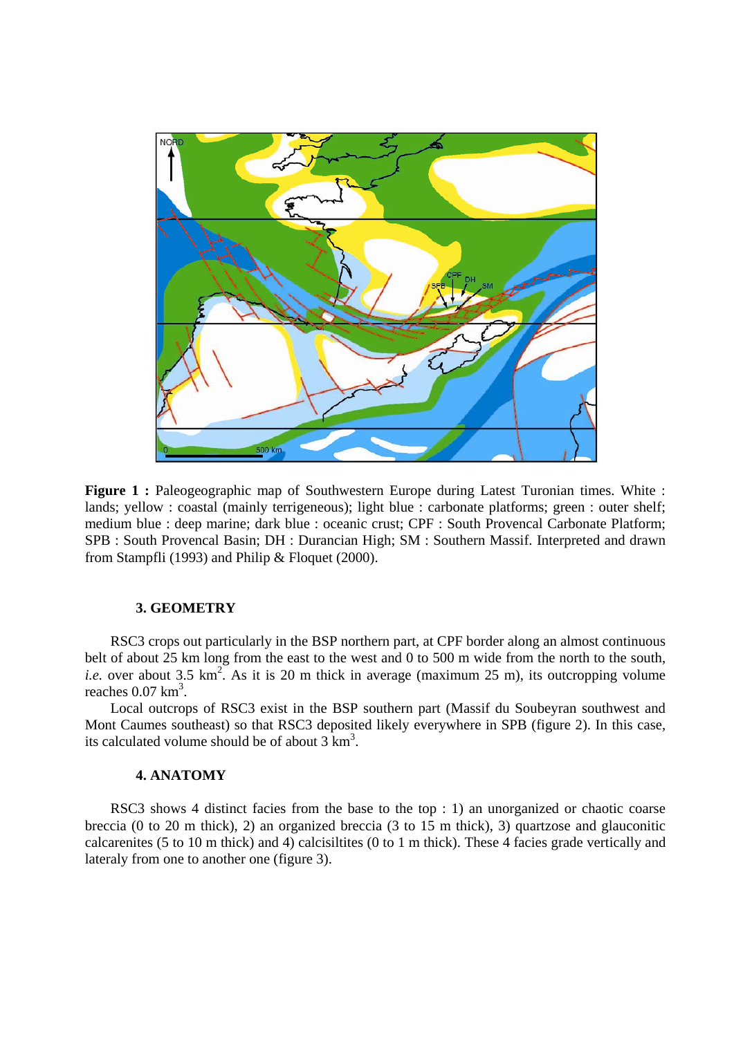

**Figure 1 :** Paleogeographic map of Southwestern Europe during Latest Turonian times. White : lands; yellow : coastal (mainly terrigeneous); light blue : carbonate platforms; green : outer shelf; medium blue : deep marine; dark blue : oceanic crust; CPF : South Provencal Carbonate Platform; SPB : South Provencal Basin; DH : Durancian High; SM : Southern Massif. Interpreted and drawn from Stampfli (1993) and Philip & Floquet (2000).

## **3. GEOMETRY**

RSC3 crops out particularly in the BSP northern part, at CPF border along an almost continuous belt of about 25 km long from the east to the west and 0 to 500 m wide from the north to the south, *i.e.* over about 3.5  $km^2$ . As it is 20 m thick in average (maximum 25 m), its outcropping volume reaches  $0.07 \text{ km}^3$ .

Local outcrops of RSC3 exist in the BSP southern part (Massif du Soubeyran southwest and Mont Caumes southeast) so that RSC3 deposited likely everywhere in SPB (figure 2). In this case, its calculated volume should be of about  $3 \text{ km}^3$ .

# **4. ANATOMY**

RSC3 shows 4 distinct facies from the base to the top : 1) an unorganized or chaotic coarse breccia (0 to 20 m thick), 2) an organized breccia (3 to 15 m thick), 3) quartzose and glauconitic calcarenites (5 to 10 m thick) and 4) calcisiltites (0 to 1 m thick). These 4 facies grade vertically and lateraly from one to another one (figure 3).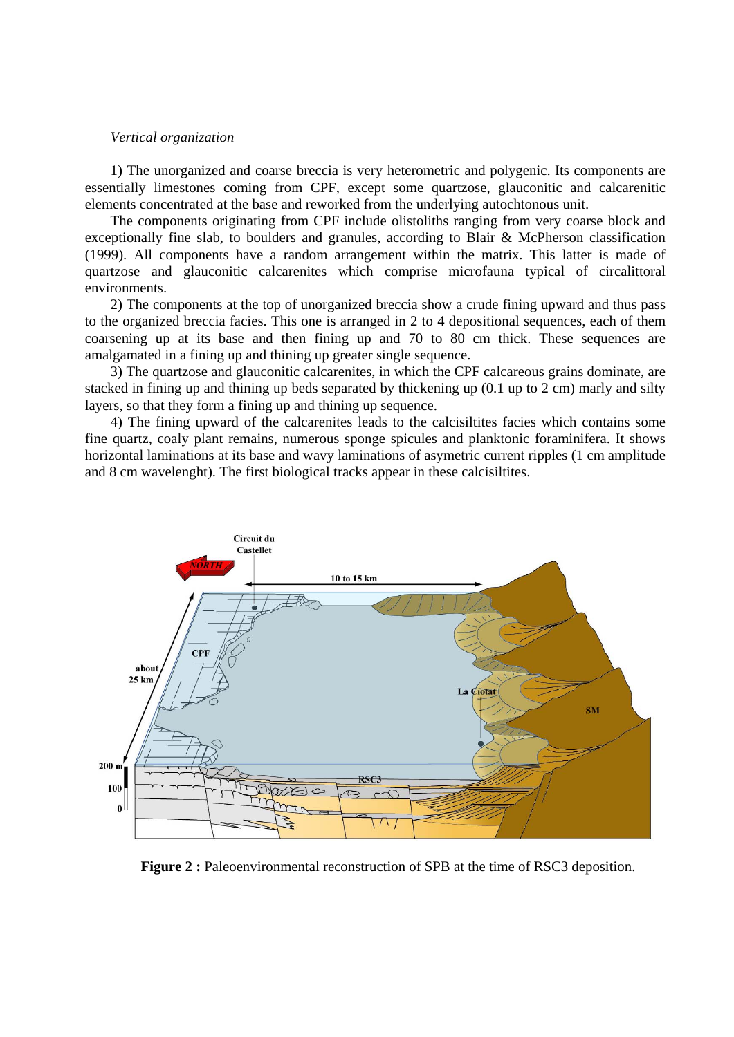#### *Vertical organization*

1) The unorganized and coarse breccia is very heterometric and polygenic. Its components are essentially limestones coming from CPF, except some quartzose, glauconitic and calcarenitic elements concentrated at the base and reworked from the underlying autochtonous unit.

The components originating from CPF include olistoliths ranging from very coarse block and exceptionally fine slab, to boulders and granules, according to Blair & McPherson classification (1999). All components have a random arrangement within the matrix. This latter is made of quartzose and glauconitic calcarenites which comprise microfauna typical of circalittoral environments.

2) The components at the top of unorganized breccia show a crude fining upward and thus pass to the organized breccia facies. This one is arranged in 2 to 4 depositional sequences, each of them coarsening up at its base and then fining up and 70 to 80 cm thick. These sequences are amalgamated in a fining up and thining up greater single sequence.

3) The quartzose and glauconitic calcarenites, in which the CPF calcareous grains dominate, are stacked in fining up and thining up beds separated by thickening up (0.1 up to 2 cm) marly and silty layers, so that they form a fining up and thining up sequence.

4) The fining upward of the calcarenites leads to the calcisiltites facies which contains some fine quartz, coaly plant remains, numerous sponge spicules and planktonic foraminifera. It shows horizontal laminations at its base and wavy laminations of asymetric current ripples (1 cm amplitude and 8 cm wavelenght). The first biological tracks appear in these calcisiltites.



**Figure 2 :** Paleoenvironmental reconstruction of SPB at the time of RSC3 deposition.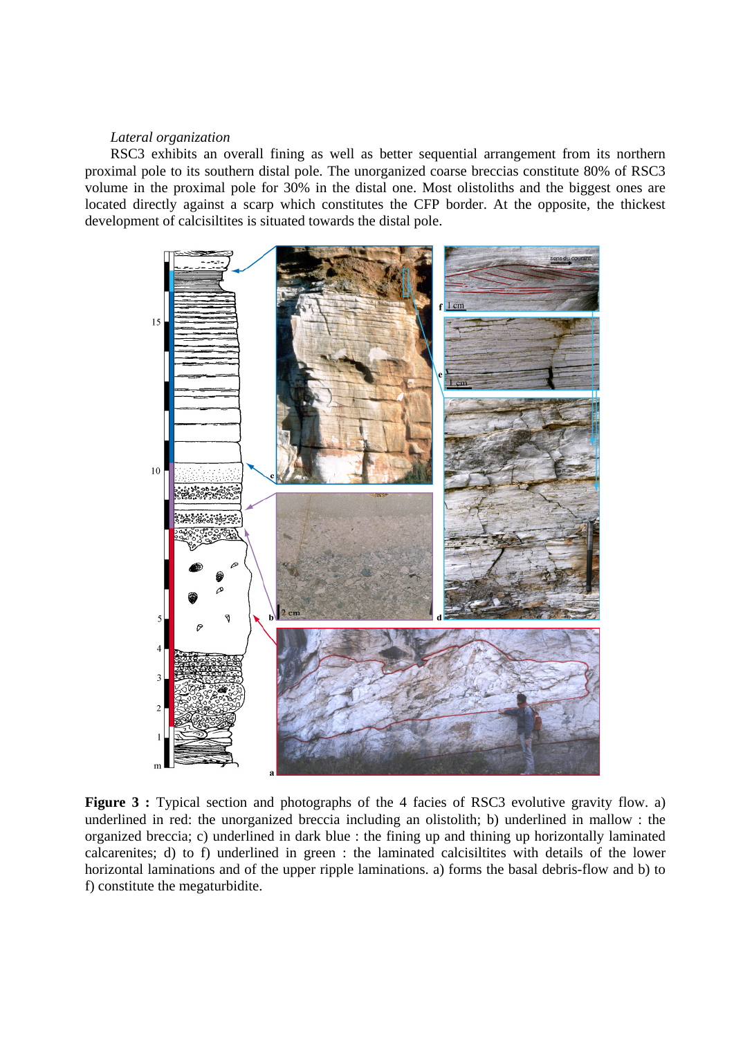#### *Lateral organization*

RSC3 exhibits an overall fining as well as better sequential arrangement from its northern proximal pole to its southern distal pole. The unorganized coarse breccias constitute 80% of RSC3 volume in the proximal pole for 30% in the distal one. Most olistoliths and the biggest ones are located directly against a scarp which constitutes the CFP border. At the opposite, the thickest development of calcisiltites is situated towards the distal pole.



**Figure 3 :** Typical section and photographs of the 4 facies of RSC3 evolutive gravity flow. a) underlined in red: the unorganized breccia including an olistolith; b) underlined in mallow : the organized breccia; c) underlined in dark blue : the fining up and thining up horizontally laminated calcarenites; d) to f) underlined in green : the laminated calcisiltites with details of the lower horizontal laminations and of the upper ripple laminations. a) forms the basal debris-flow and b) to f) constitute the megaturbidite.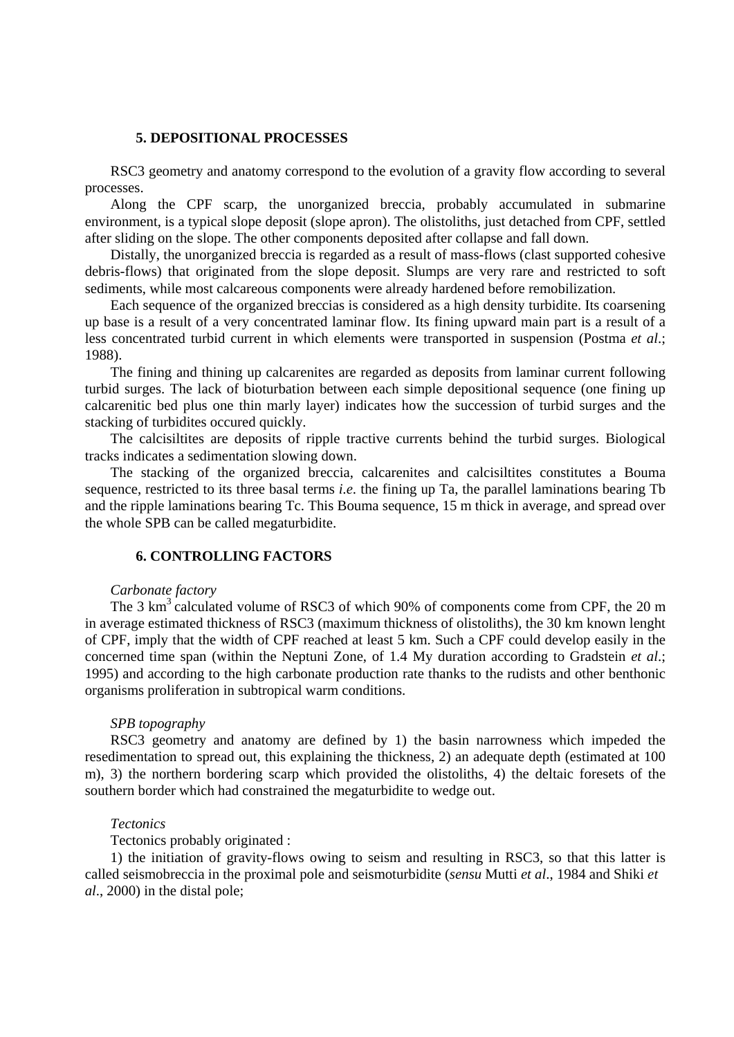## **5. DEPOSITIONAL PROCESSES**

RSC3 geometry and anatomy correspond to the evolution of a gravity flow according to several processes.

Along the CPF scarp, the unorganized breccia, probably accumulated in submarine environment, is a typical slope deposit (slope apron). The olistoliths, just detached from CPF, settled after sliding on the slope. The other components deposited after collapse and fall down.

Distally, the unorganized breccia is regarded as a result of mass-flows (clast supported cohesive debris-flows) that originated from the slope deposit. Slumps are very rare and restricted to soft sediments, while most calcareous components were already hardened before remobilization.

Each sequence of the organized breccias is considered as a high density turbidite. Its coarsening up base is a result of a very concentrated laminar flow. Its fining upward main part is a result of a less concentrated turbid current in which elements were transported in suspension (Postma *et al*.; 1988).

The fining and thining up calcarenites are regarded as deposits from laminar current following turbid surges. The lack of bioturbation between each simple depositional sequence (one fining up calcarenitic bed plus one thin marly layer) indicates how the succession of turbid surges and the stacking of turbidites occured quickly.

The calcisiltites are deposits of ripple tractive currents behind the turbid surges. Biological tracks indicates a sedimentation slowing down.

The stacking of the organized breccia, calcarenites and calcisiltites constitutes a Bouma sequence, restricted to its three basal terms *i.e.* the fining up Ta, the parallel laminations bearing Tb and the ripple laminations bearing Tc. This Bouma sequence, 15 m thick in average, and spread over the whole SPB can be called megaturbidite.

#### **6. CONTROLLING FACTORS**

#### *Carbonate factory*

The 3 km<sup>3</sup> calculated volume of RSC3 of which 90% of components come from CPF, the 20 m in average estimated thickness of RSC3 (maximum thickness of olistoliths), the 30 km known lenght of CPF, imply that the width of CPF reached at least 5 km. Such a CPF could develop easily in the concerned time span (within the Neptuni Zone, of 1.4 My duration according to Gradstein *et al*.; 1995) and according to the high carbonate production rate thanks to the rudists and other benthonic organisms proliferation in subtropical warm conditions.

#### *SPB topography*

RSC3 geometry and anatomy are defined by 1) the basin narrowness which impeded the resedimentation to spread out, this explaining the thickness, 2) an adequate depth (estimated at 100 m), 3) the northern bordering scarp which provided the olistoliths, 4) the deltaic foresets of the southern border which had constrained the megaturbidite to wedge out.

#### *Tectonics*

Tectonics probably originated :

1) the initiation of gravity-flows owing to seism and resulting in RSC3, so that this latter is called seismobreccia in the proximal pole and seismoturbidite (*sensu* Mutti *et al*., 1984 and Shiki *et al*., 2000) in the distal pole;